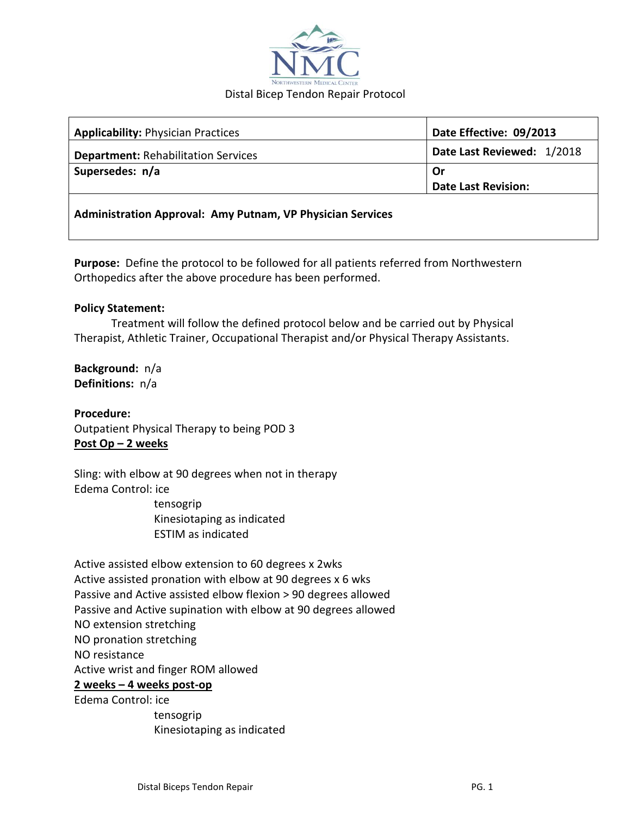

| <b>Applicability: Physician Practices</b>                         | Date Effective: 09/2013    |
|-------------------------------------------------------------------|----------------------------|
| <b>Department: Rehabilitation Services</b>                        | Date Last Reviewed: 1/2018 |
| Supersedes: n/a                                                   | Or                         |
|                                                                   | <b>Date Last Revision:</b> |
| <b>Administration Approval: Amy Putnam, VP Physician Services</b> |                            |

**Purpose:** Define the protocol to be followed for all patients referred from Northwestern Orthopedics after the above procedure has been performed.

## **Policy Statement:**

Treatment will follow the defined protocol below and be carried out by Physical Therapist, Athletic Trainer, Occupational Therapist and/or Physical Therapy Assistants.

**Background:** n/a **Definitions:** n/a

**Procedure:** Outpatient Physical Therapy to being POD 3 **Post Op – 2 weeks**

Sling: with elbow at 90 degrees when not in therapy Edema Control: ice

 tensogrip Kinesiotaping as indicated ESTIM as indicated

Active assisted elbow extension to 60 degrees x 2wks Active assisted pronation with elbow at 90 degrees x 6 wks Passive and Active assisted elbow flexion > 90 degrees allowed Passive and Active supination with elbow at 90 degrees allowed NO extension stretching NO pronation stretching NO resistance Active wrist and finger ROM allowed **2 weeks – 4 weeks post-op** Edema Control: ice tensogrip

Kinesiotaping as indicated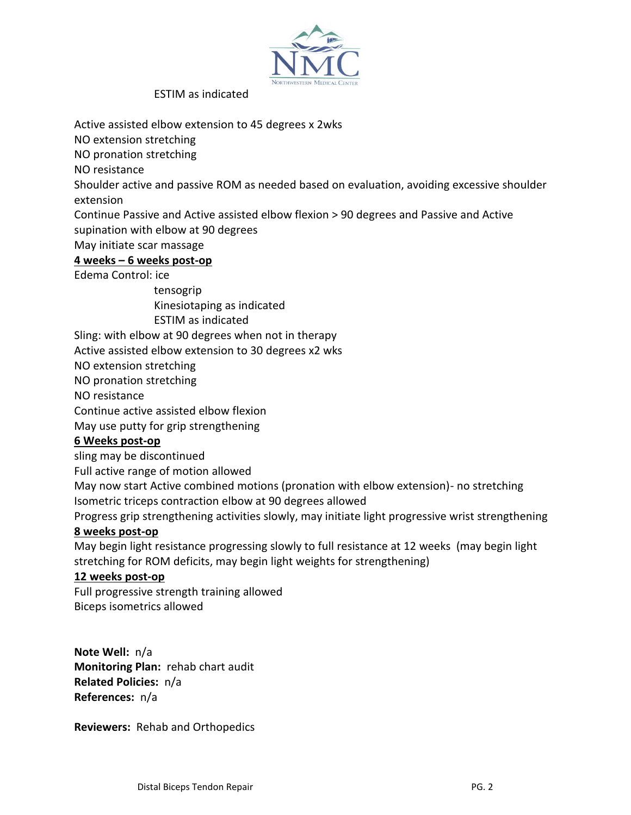

ESTIM as indicated

Active assisted elbow extension to 45 degrees x 2wks

NO extension stretching

NO pronation stretching

NO resistance

Shoulder active and passive ROM as needed based on evaluation, avoiding excessive shoulder extension

Continue Passive and Active assisted elbow flexion > 90 degrees and Passive and Active supination with elbow at 90 degrees

May initiate scar massage

# **4 weeks – 6 weeks post-op**

Edema Control: ice

 tensogrip Kinesiotaping as indicated ESTIM as indicated

Sling: with elbow at 90 degrees when not in therapy

Active assisted elbow extension to 30 degrees x2 wks

NO extension stretching

NO pronation stretching

NO resistance

Continue active assisted elbow flexion

May use putty for grip strengthening

# **6 Weeks post-op**

sling may be discontinued

Full active range of motion allowed

May now start Active combined motions (pronation with elbow extension)- no stretching Isometric triceps contraction elbow at 90 degrees allowed

Progress grip strengthening activities slowly, may initiate light progressive wrist strengthening

#### **8 weeks post-op**

May begin light resistance progressing slowly to full resistance at 12 weeks (may begin light stretching for ROM deficits, may begin light weights for strengthening)

## **12 weeks post-op**

Full progressive strength training allowed Biceps isometrics allowed

**Note Well:** n/a **Monitoring Plan:** rehab chart audit **Related Policies:** n/a **References:** n/a

**Reviewers:** Rehab and Orthopedics